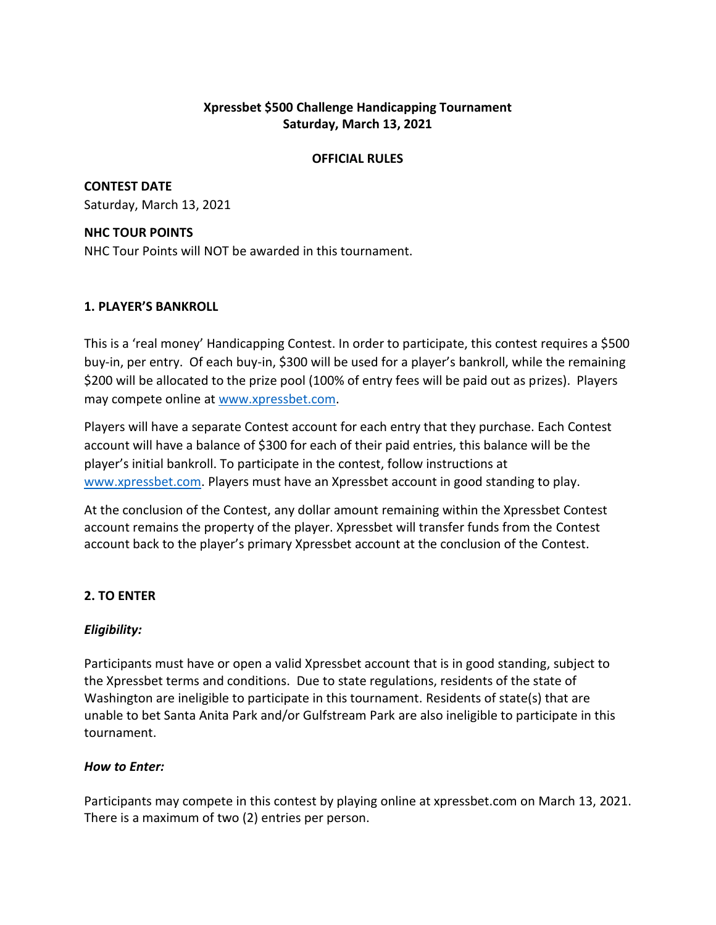# **Xpressbet \$500 Challenge Handicapping Tournament Saturday, March 13, 2021**

### **OFFICIAL RULES**

**CONTEST DATE** Saturday, March 13, 2021

## **NHC TOUR POINTS**

NHC Tour Points will NOT be awarded in this tournament.

# **1. PLAYER'S BANKROLL**

This is a 'real money' Handicapping Contest. In order to participate, this contest requires a \$500 buy-in, per entry. Of each buy-in, \$300 will be used for a player's bankroll, while the remaining \$200 will be allocated to the prize pool (100% of entry fees will be paid out as prizes). Players may compete online at [www.xpressbet.com.](http://www.xpressbet.com/)

Players will have a separate Contest account for each entry that they purchase. Each Contest account will have a balance of \$300 for each of their paid entries, this balance will be the player's initial bankroll. To participate in the contest, follow instructions at [www.xpressbet.com.](http://www.xpressbet.com/) Players must have an Xpressbet account in good standing to play.

At the conclusion of the Contest, any dollar amount remaining within the Xpressbet Contest account remains the property of the player. Xpressbet will transfer funds from the Contest account back to the player's primary Xpressbet account at the conclusion of the Contest.

# **2. TO ENTER**

# *Eligibility:*

Participants must have or open a valid Xpressbet account that is in good standing, subject to the Xpressbet terms and conditions. Due to state regulations, residents of the state of Washington are ineligible to participate in this tournament. Residents of state(s) that are unable to bet Santa Anita Park and/or Gulfstream Park are also ineligible to participate in this tournament.

# *How to Enter:*

Participants may compete in this contest by playing online at xpressbet.com on March 13, 2021. There is a maximum of two (2) entries per person.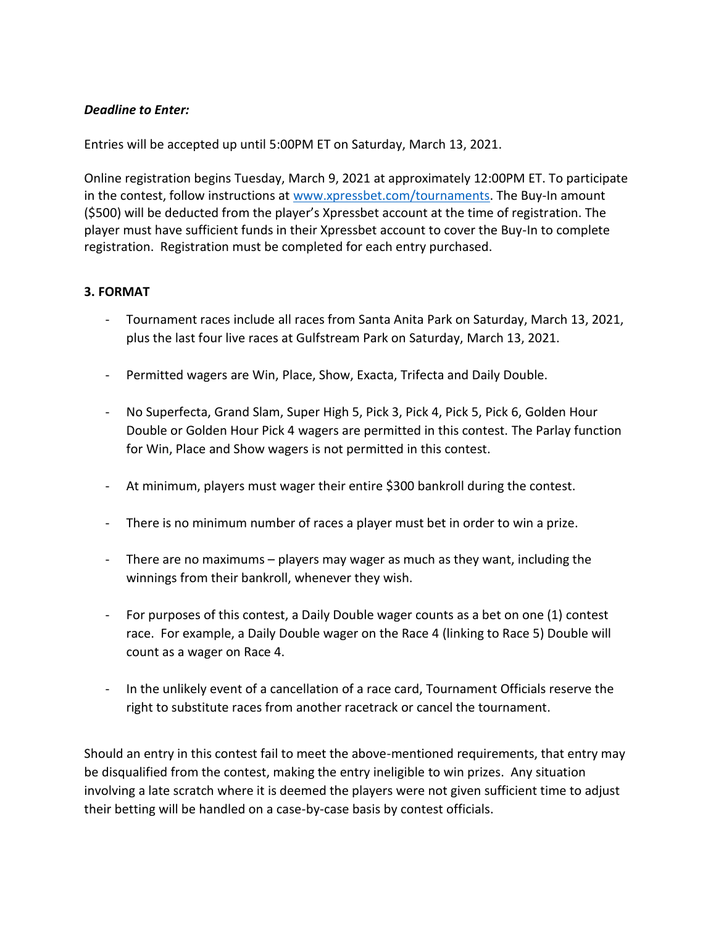## *Deadline to Enter:*

Entries will be accepted up until 5:00PM ET on Saturday, March 13, 2021.

Online registration begins Tuesday, March 9, 2021 at approximately 12:00PM ET. To participate in the contest, follow instructions at [www.xpressbet.com/](http://www.xpressbet.com/)tournaments. The Buy-In amount (\$500) will be deducted from the player's Xpressbet account at the time of registration. The player must have sufficient funds in their Xpressbet account to cover the Buy-In to complete registration. Registration must be completed for each entry purchased.

## **3. FORMAT**

- Tournament races include all races from Santa Anita Park on Saturday, March 13, 2021, plus the last four live races at Gulfstream Park on Saturday, March 13, 2021.
- Permitted wagers are Win, Place, Show, Exacta, Trifecta and Daily Double.
- No Superfecta, Grand Slam, Super High 5, Pick 3, Pick 4, Pick 5, Pick 6, Golden Hour Double or Golden Hour Pick 4 wagers are permitted in this contest. The Parlay function for Win, Place and Show wagers is not permitted in this contest.
- At minimum, players must wager their entire \$300 bankroll during the contest.
- There is no minimum number of races a player must bet in order to win a prize.
- There are no maximums players may wager as much as they want, including the winnings from their bankroll, whenever they wish.
- For purposes of this contest, a Daily Double wager counts as a bet on one (1) contest race. For example, a Daily Double wager on the Race 4 (linking to Race 5) Double will count as a wager on Race 4.
- In the unlikely event of a cancellation of a race card, Tournament Officials reserve the right to substitute races from another racetrack or cancel the tournament.

Should an entry in this contest fail to meet the above-mentioned requirements, that entry may be disqualified from the contest, making the entry ineligible to win prizes. Any situation involving a late scratch where it is deemed the players were not given sufficient time to adjust their betting will be handled on a case-by-case basis by contest officials.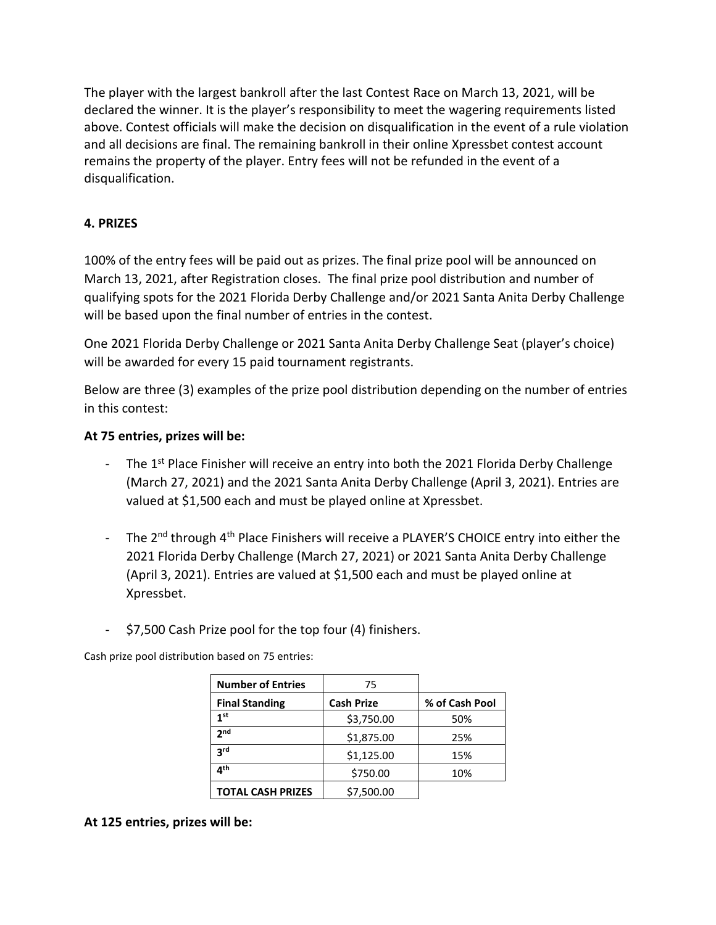The player with the largest bankroll after the last Contest Race on March 13, 2021, will be declared the winner. It is the player's responsibility to meet the wagering requirements listed above. Contest officials will make the decision on disqualification in the event of a rule violation and all decisions are final. The remaining bankroll in their online Xpressbet contest account remains the property of the player. Entry fees will not be refunded in the event of a disqualification.

# **4. PRIZES**

100% of the entry fees will be paid out as prizes. The final prize pool will be announced on March 13, 2021, after Registration closes. The final prize pool distribution and number of qualifying spots for the 2021 Florida Derby Challenge and/or 2021 Santa Anita Derby Challenge will be based upon the final number of entries in the contest.

One 2021 Florida Derby Challenge or 2021 Santa Anita Derby Challenge Seat (player's choice) will be awarded for every 15 paid tournament registrants.

Below are three (3) examples of the prize pool distribution depending on the number of entries in this contest:

## **At 75 entries, prizes will be:**

- The  $1^{st}$  Place Finisher will receive an entry into both the 2021 Florida Derby Challenge (March 27, 2021) and the 2021 Santa Anita Derby Challenge (April 3, 2021). Entries are valued at \$1,500 each and must be played online at Xpressbet.
- The 2<sup>nd</sup> through 4<sup>th</sup> Place Finishers will receive a PLAYER'S CHOICE entry into either the 2021 Florida Derby Challenge (March 27, 2021) or 2021 Santa Anita Derby Challenge (April 3, 2021). Entries are valued at \$1,500 each and must be played online at Xpressbet.
- \$7,500 Cash Prize pool for the top four (4) finishers.

Cash prize pool distribution based on 75 entries:

| <b>Number of Entries</b> | 75                |                |
|--------------------------|-------------------|----------------|
| <b>Final Standing</b>    | <b>Cash Prize</b> | % of Cash Pool |
| 1 <sup>st</sup>          | \$3,750.00        | 50%            |
| <b>J</b> nd              | \$1,875.00        | 25%            |
| 3 <sup>rd</sup>          | \$1,125.00        | 15%            |
| ⊿th                      | \$750.00          | 10%            |
| <b>TOTAL CASH PRIZES</b> | \$7,500.00        |                |

**At 125 entries, prizes will be:**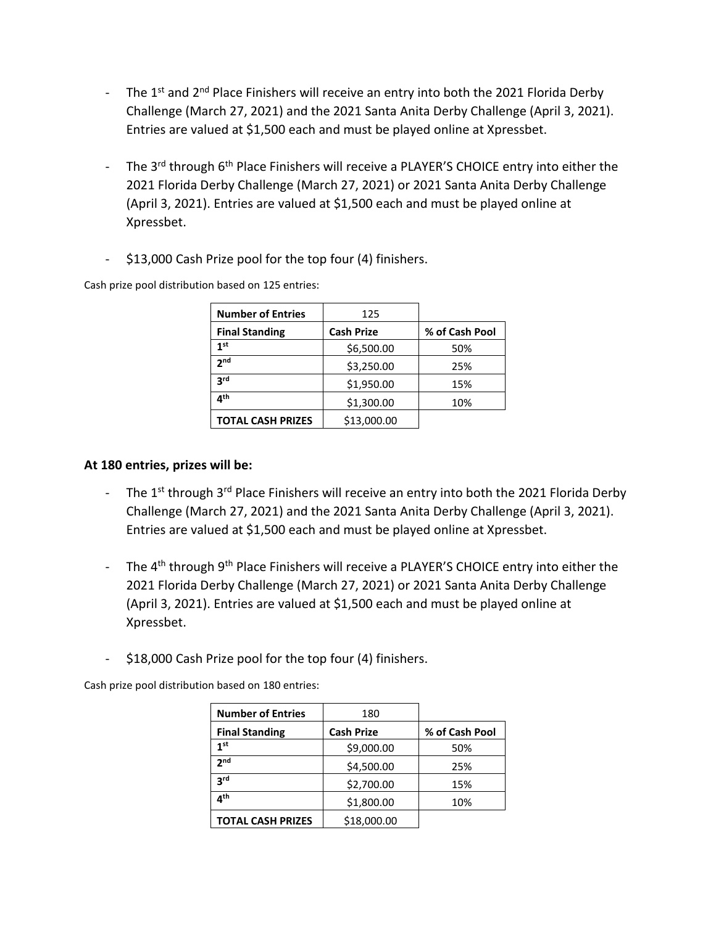- The  $1^{st}$  and  $2^{nd}$  Place Finishers will receive an entry into both the 2021 Florida Derby Challenge (March 27, 2021) and the 2021 Santa Anita Derby Challenge (April 3, 2021). Entries are valued at \$1,500 each and must be played online at Xpressbet.
- The 3<sup>rd</sup> through 6<sup>th</sup> Place Finishers will receive a PLAYER'S CHOICE entry into either the 2021 Florida Derby Challenge (March 27, 2021) or 2021 Santa Anita Derby Challenge (April 3, 2021). Entries are valued at \$1,500 each and must be played online at Xpressbet.
- \$13,000 Cash Prize pool for the top four (4) finishers.

Cash prize pool distribution based on 125 entries:

| <b>Number of Entries</b> | 125               |                |
|--------------------------|-------------------|----------------|
| <b>Final Standing</b>    | <b>Cash Prize</b> | % of Cash Pool |
| 1 <sup>st</sup>          | \$6,500.00        | 50%            |
| 2 <sub>nd</sub>          | \$3,250.00        | 25%            |
| 3rd                      | \$1,950.00        | 15%            |
| ⊿th                      | \$1,300.00        | 10%            |
| <b>TOTAL CASH PRIZES</b> | \$13,000.00       |                |

## **At 180 entries, prizes will be:**

- The  $1^{st}$  through  $3^{rd}$  Place Finishers will receive an entry into both the 2021 Florida Derby Challenge (March 27, 2021) and the 2021 Santa Anita Derby Challenge (April 3, 2021). Entries are valued at \$1,500 each and must be played online at Xpressbet.
- The 4<sup>th</sup> through 9<sup>th</sup> Place Finishers will receive a PLAYER'S CHOICE entry into either the 2021 Florida Derby Challenge (March 27, 2021) or 2021 Santa Anita Derby Challenge (April 3, 2021). Entries are valued at \$1,500 each and must be played online at Xpressbet.
- \$18,000 Cash Prize pool for the top four (4) finishers.

Cash prize pool distribution based on 180 entries:

| <b>Number of Entries</b> | 180               |                |
|--------------------------|-------------------|----------------|
| <b>Final Standing</b>    | <b>Cash Prize</b> | % of Cash Pool |
| 1 <sup>st</sup>          | \$9,000.00        | 50%            |
| 2 <sub>nd</sub>          | \$4,500.00        | 25%            |
| <b>ard</b>               | \$2,700.00        | 15%            |
| $\mathbf{A}^{\text{th}}$ | \$1,800.00        | 10%            |
| <b>TOTAL CASH PRIZES</b> | \$18,000.00       |                |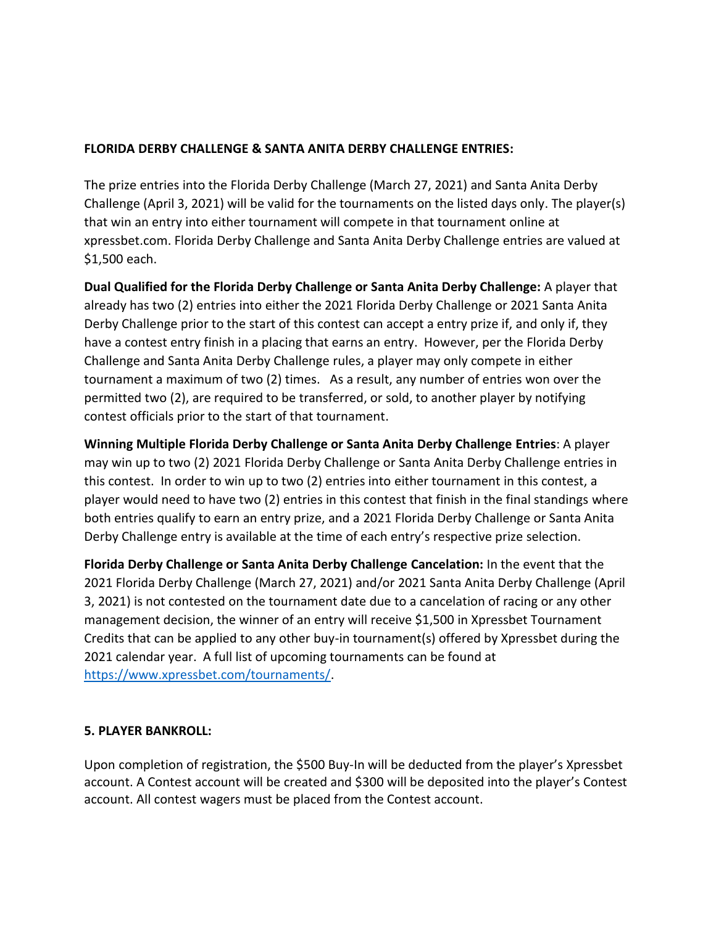## **FLORIDA DERBY CHALLENGE & SANTA ANITA DERBY CHALLENGE ENTRIES:**

The prize entries into the Florida Derby Challenge (March 27, 2021) and Santa Anita Derby Challenge (April 3, 2021) will be valid for the tournaments on the listed days only. The player(s) that win an entry into either tournament will compete in that tournament online at xpressbet.com. Florida Derby Challenge and Santa Anita Derby Challenge entries are valued at \$1,500 each.

**Dual Qualified for the Florida Derby Challenge or Santa Anita Derby Challenge:** A player that already has two (2) entries into either the 2021 Florida Derby Challenge or 2021 Santa Anita Derby Challenge prior to the start of this contest can accept a entry prize if, and only if, they have a contest entry finish in a placing that earns an entry. However, per the Florida Derby Challenge and Santa Anita Derby Challenge rules, a player may only compete in either tournament a maximum of two (2) times. As a result, any number of entries won over the permitted two (2), are required to be transferred, or sold, to another player by notifying contest officials prior to the start of that tournament.

**Winning Multiple Florida Derby Challenge or Santa Anita Derby Challenge Entries**: A player may win up to two (2) 2021 Florida Derby Challenge or Santa Anita Derby Challenge entries in this contest. In order to win up to two (2) entries into either tournament in this contest, a player would need to have two (2) entries in this contest that finish in the final standings where both entries qualify to earn an entry prize, and a 2021 Florida Derby Challenge or Santa Anita Derby Challenge entry is available at the time of each entry's respective prize selection.

**Florida Derby Challenge or Santa Anita Derby Challenge Cancelation:** In the event that the 2021 Florida Derby Challenge (March 27, 2021) and/or 2021 Santa Anita Derby Challenge (April 3, 2021) is not contested on the tournament date due to a cancelation of racing or any other management decision, the winner of an entry will receive \$1,500 in Xpressbet Tournament Credits that can be applied to any other buy-in tournament(s) offered by Xpressbet during the 2021 calendar year. A full list of upcoming tournaments can be found at [https://www.xpressbet.com/tournaments/.](https://www.xpressbet.com/tournaments/)

### **5. PLAYER BANKROLL:**

Upon completion of registration, the \$500 Buy-In will be deducted from the player's Xpressbet account. A Contest account will be created and \$300 will be deposited into the player's Contest account. All contest wagers must be placed from the Contest account.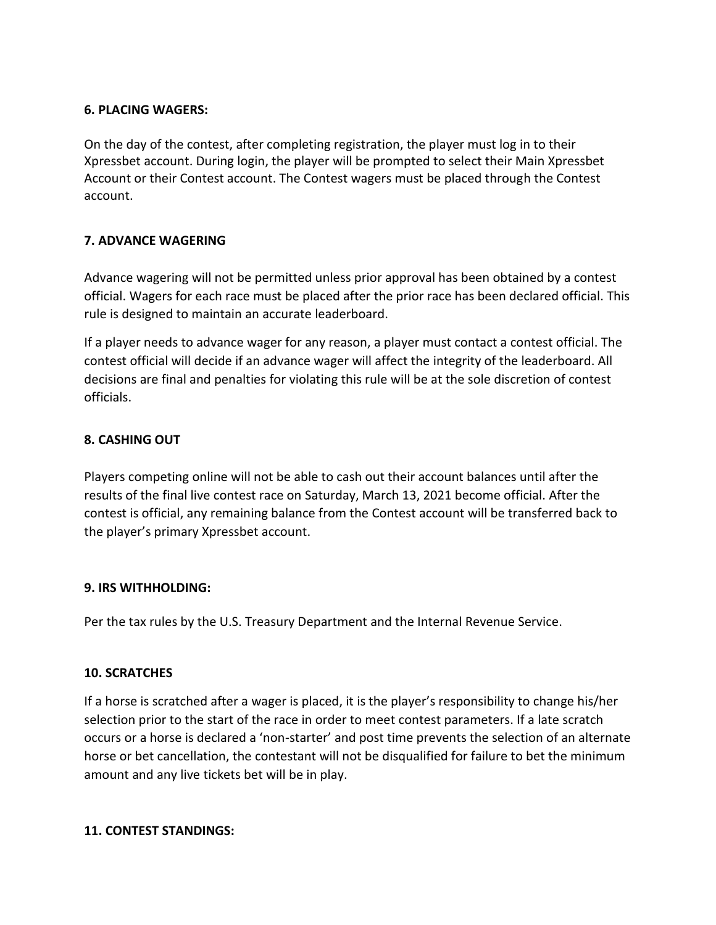## **6. PLACING WAGERS:**

On the day of the contest, after completing registration, the player must log in to their Xpressbet account. During login, the player will be prompted to select their Main Xpressbet Account or their Contest account. The Contest wagers must be placed through the Contest account.

# **7. ADVANCE WAGERING**

Advance wagering will not be permitted unless prior approval has been obtained by a contest official. Wagers for each race must be placed after the prior race has been declared official. This rule is designed to maintain an accurate leaderboard.

If a player needs to advance wager for any reason, a player must contact a contest official. The contest official will decide if an advance wager will affect the integrity of the leaderboard. All decisions are final and penalties for violating this rule will be at the sole discretion of contest officials.

# **8. CASHING OUT**

Players competing online will not be able to cash out their account balances until after the results of the final live contest race on Saturday, March 13, 2021 become official. After the contest is official, any remaining balance from the Contest account will be transferred back to the player's primary Xpressbet account.

# **9. IRS WITHHOLDING:**

Per the tax rules by the U.S. Treasury Department and the Internal Revenue Service.

# **10. SCRATCHES**

If a horse is scratched after a wager is placed, it is the player's responsibility to change his/her selection prior to the start of the race in order to meet contest parameters. If a late scratch occurs or a horse is declared a 'non-starter' and post time prevents the selection of an alternate horse or bet cancellation, the contestant will not be disqualified for failure to bet the minimum amount and any live tickets bet will be in play.

### **11. CONTEST STANDINGS:**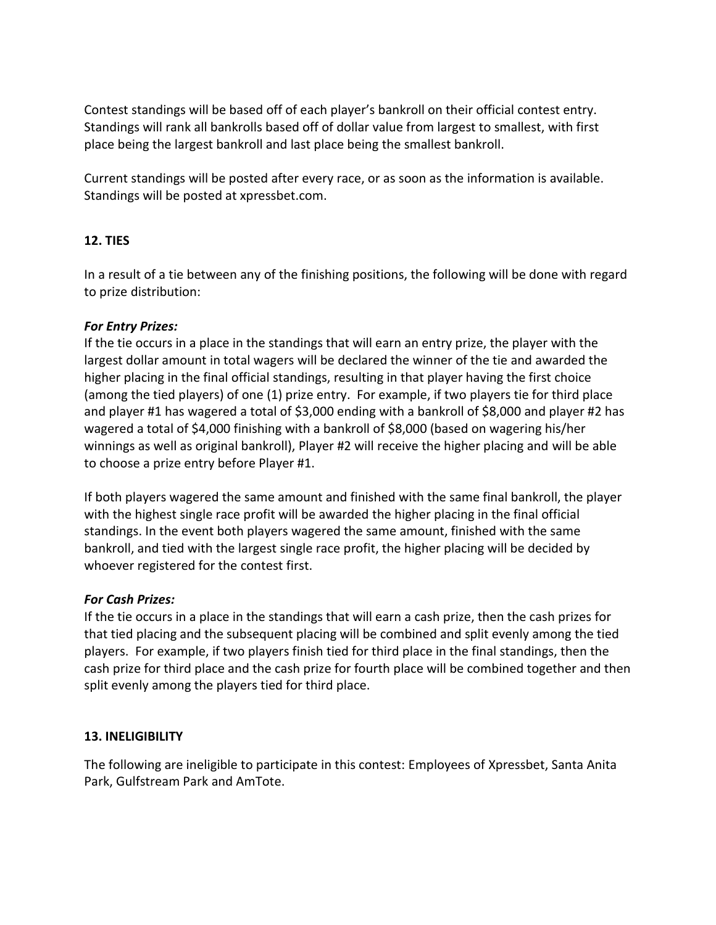Contest standings will be based off of each player's bankroll on their official contest entry. Standings will rank all bankrolls based off of dollar value from largest to smallest, with first place being the largest bankroll and last place being the smallest bankroll.

Current standings will be posted after every race, or as soon as the information is available. Standings will be posted at xpressbet.com.

# **12. TIES**

In a result of a tie between any of the finishing positions, the following will be done with regard to prize distribution:

# *For Entry Prizes:*

If the tie occurs in a place in the standings that will earn an entry prize, the player with the largest dollar amount in total wagers will be declared the winner of the tie and awarded the higher placing in the final official standings, resulting in that player having the first choice (among the tied players) of one (1) prize entry. For example, if two players tie for third place and player #1 has wagered a total of \$3,000 ending with a bankroll of \$8,000 and player #2 has wagered a total of \$4,000 finishing with a bankroll of \$8,000 (based on wagering his/her winnings as well as original bankroll), Player #2 will receive the higher placing and will be able to choose a prize entry before Player #1.

If both players wagered the same amount and finished with the same final bankroll, the player with the highest single race profit will be awarded the higher placing in the final official standings. In the event both players wagered the same amount, finished with the same bankroll, and tied with the largest single race profit, the higher placing will be decided by whoever registered for the contest first.

# *For Cash Prizes:*

If the tie occurs in a place in the standings that will earn a cash prize, then the cash prizes for that tied placing and the subsequent placing will be combined and split evenly among the tied players. For example, if two players finish tied for third place in the final standings, then the cash prize for third place and the cash prize for fourth place will be combined together and then split evenly among the players tied for third place.

### **13. INELIGIBILITY**

The following are ineligible to participate in this contest: Employees of Xpressbet, Santa Anita Park, Gulfstream Park and AmTote.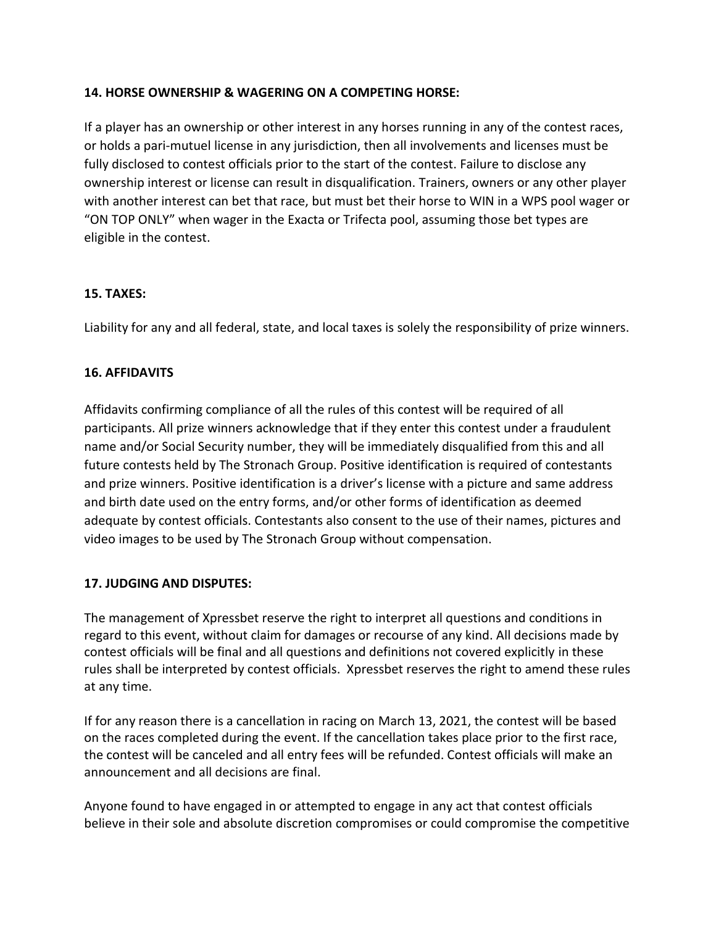# **14. HORSE OWNERSHIP & WAGERING ON A COMPETING HORSE:**

If a player has an ownership or other interest in any horses running in any of the contest races, or holds a pari-mutuel license in any jurisdiction, then all involvements and licenses must be fully disclosed to contest officials prior to the start of the contest. Failure to disclose any ownership interest or license can result in disqualification. Trainers, owners or any other player with another interest can bet that race, but must bet their horse to WIN in a WPS pool wager or "ON TOP ONLY" when wager in the Exacta or Trifecta pool, assuming those bet types are eligible in the contest.

# **15. TAXES:**

Liability for any and all federal, state, and local taxes is solely the responsibility of prize winners.

# **16. AFFIDAVITS**

Affidavits confirming compliance of all the rules of this contest will be required of all participants. All prize winners acknowledge that if they enter this contest under a fraudulent name and/or Social Security number, they will be immediately disqualified from this and all future contests held by The Stronach Group. Positive identification is required of contestants and prize winners. Positive identification is a driver's license with a picture and same address and birth date used on the entry forms, and/or other forms of identification as deemed adequate by contest officials. Contestants also consent to the use of their names, pictures and video images to be used by The Stronach Group without compensation.

# **17. JUDGING AND DISPUTES:**

The management of Xpressbet reserve the right to interpret all questions and conditions in regard to this event, without claim for damages or recourse of any kind. All decisions made by contest officials will be final and all questions and definitions not covered explicitly in these rules shall be interpreted by contest officials. Xpressbet reserves the right to amend these rules at any time.

If for any reason there is a cancellation in racing on March 13, 2021, the contest will be based on the races completed during the event. If the cancellation takes place prior to the first race, the contest will be canceled and all entry fees will be refunded. Contest officials will make an announcement and all decisions are final.

Anyone found to have engaged in or attempted to engage in any act that contest officials believe in their sole and absolute discretion compromises or could compromise the competitive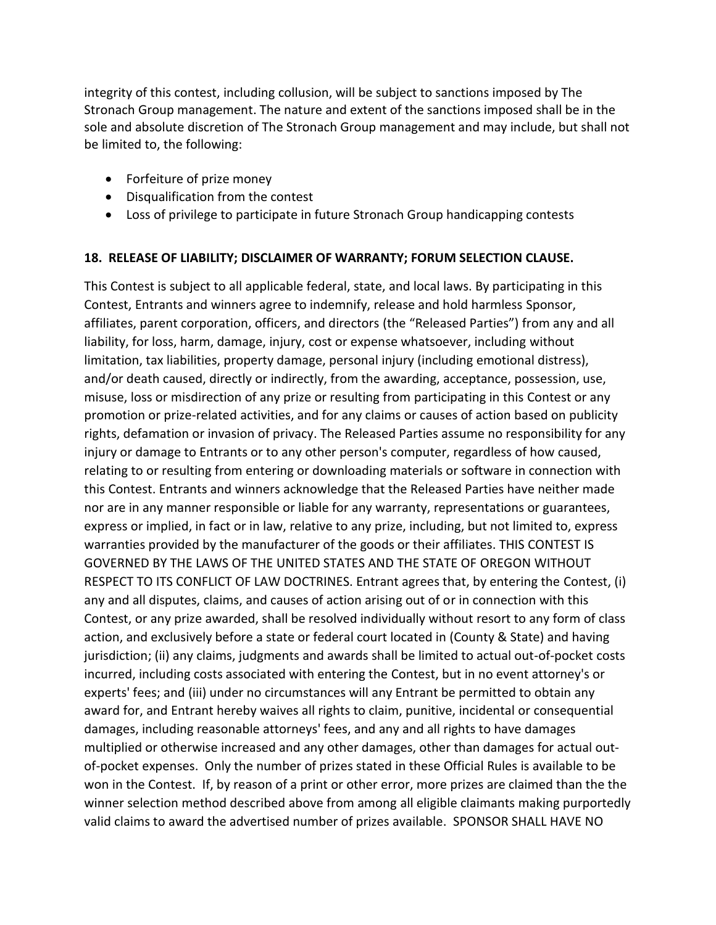integrity of this contest, including collusion, will be subject to sanctions imposed by The Stronach Group management. The nature and extent of the sanctions imposed shall be in the sole and absolute discretion of The Stronach Group management and may include, but shall not be limited to, the following:

- Forfeiture of prize money
- Disqualification from the contest
- Loss of privilege to participate in future Stronach Group handicapping contests

## **18. RELEASE OF LIABILITY; DISCLAIMER OF WARRANTY; FORUM SELECTION CLAUSE.**

This Contest is subject to all applicable federal, state, and local laws. By participating in this Contest, Entrants and winners agree to indemnify, release and hold harmless Sponsor, affiliates, parent corporation, officers, and directors (the "Released Parties") from any and all liability, for loss, harm, damage, injury, cost or expense whatsoever, including without limitation, tax liabilities, property damage, personal injury (including emotional distress), and/or death caused, directly or indirectly, from the awarding, acceptance, possession, use, misuse, loss or misdirection of any prize or resulting from participating in this Contest or any promotion or prize-related activities, and for any claims or causes of action based on publicity rights, defamation or invasion of privacy. The Released Parties assume no responsibility for any injury or damage to Entrants or to any other person's computer, regardless of how caused, relating to or resulting from entering or downloading materials or software in connection with this Contest. Entrants and winners acknowledge that the Released Parties have neither made nor are in any manner responsible or liable for any warranty, representations or guarantees, express or implied, in fact or in law, relative to any prize, including, but not limited to, express warranties provided by the manufacturer of the goods or their affiliates. THIS CONTEST IS GOVERNED BY THE LAWS OF THE UNITED STATES AND THE STATE OF OREGON WITHOUT RESPECT TO ITS CONFLICT OF LAW DOCTRINES. Entrant agrees that, by entering the Contest, (i) any and all disputes, claims, and causes of action arising out of or in connection with this Contest, or any prize awarded, shall be resolved individually without resort to any form of class action, and exclusively before a state or federal court located in (County & State) and having jurisdiction; (ii) any claims, judgments and awards shall be limited to actual out-of-pocket costs incurred, including costs associated with entering the Contest, but in no event attorney's or experts' fees; and (iii) under no circumstances will any Entrant be permitted to obtain any award for, and Entrant hereby waives all rights to claim, punitive, incidental or consequential damages, including reasonable attorneys' fees, and any and all rights to have damages multiplied or otherwise increased and any other damages, other than damages for actual outof-pocket expenses. Only the number of prizes stated in these Official Rules is available to be won in the Contest. If, by reason of a print or other error, more prizes are claimed than the the winner selection method described above from among all eligible claimants making purportedly valid claims to award the advertised number of prizes available. SPONSOR SHALL HAVE NO